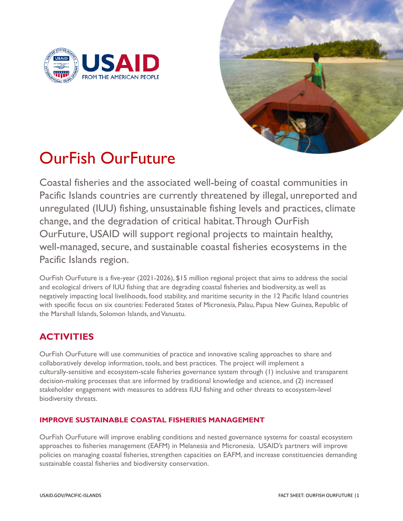



# OurFish OurFuture

Coastal fisheries and the associated well-being of coastal communities in Pacific Islands countries are currently threatened by illegal, unreported and unregulated (IUU) fishing, unsustainable fishing levels and practices, climate change, and the degradation of critical habitat.Through OurFish OurFuture, USAID will support regional projects to maintain healthy, well-managed, secure, and sustainable coastal fisheries ecosystems in the Pacific Islands region.

OurFish OurFuture is a five-year (2021-2026), \$15 million regional project that aims to address the social and ecological drivers of IUU fishing that are degrading coastal fisheries and biodiversity, as well as negatively impacting local livelihoods, food stability, and maritime security in the 12 Pacific Island countries with specific focus on six countries: Federated States of Micronesia, Palau, Papua New Guinea, Republic of the Marshall Islands, Solomon Islands, andVanuatu.

## **ACTIVITIES**

OurFish OurFuture will use communities of practice and innovative scaling approaches to share and collaboratively develop information, tools, and best practices. The project will implement a culturally-sensitive and ecosystem-scale fisheries governance system through (1) inclusive and transparent decision-making processes that are informed by traditional knowledge and science, and (2) increased stakeholder engagement with measures to address IUU fishing and other threats to ecosystem-level biodiversity threats.

### **IMPROVE SUSTAINABLE COASTAL FISHERIES MANAGEMENT**

OurFish OurFuture will improve enabling conditions and nested governance systems for coastal ecosystem approaches to fisheries management (EAFM) in Melanesia and Micronesia. USAID's partners will improve policies on managing coastal fisheries, strengthen capacities on EAFM, and increase constituencies demanding sustainable coastal fisheries and biodiversity conservation.